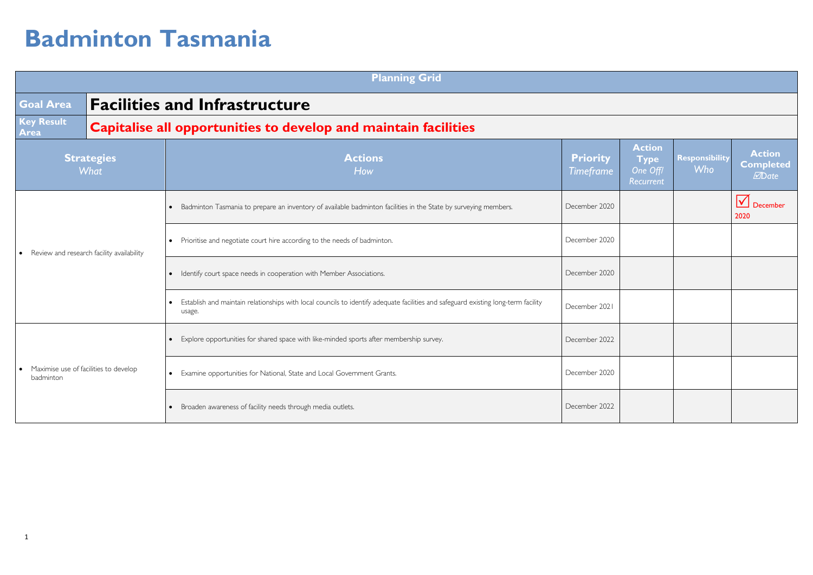|                                                                 |                           | <b>Planning Grid</b>                                                                                                                           |                                     |                                                       |                              |                                                           |
|-----------------------------------------------------------------|---------------------------|------------------------------------------------------------------------------------------------------------------------------------------------|-------------------------------------|-------------------------------------------------------|------------------------------|-----------------------------------------------------------|
| <b>Goal Area</b>                                                |                           | <b>Facilities and Infrastructure</b>                                                                                                           |                                     |                                                       |                              |                                                           |
| <b>Key Result</b><br>Area                                       |                           | Capitalise all opportunities to develop and maintain facilities                                                                                |                                     |                                                       |                              |                                                           |
|                                                                 | <b>Strategies</b><br>What | <b>Actions</b><br>How                                                                                                                          | <b>Priority</b><br><b>Timeframe</b> | <b>Action</b><br><b>Type</b><br>One Offl<br>Recurrent | Responsibility<br><b>Who</b> | <b>Action</b><br><b>Completed</b><br><b><i>M</i></b> Date |
| Review and research facility availability<br>$\bullet$          |                           | • Badminton Tasmania to prepare an inventory of available badminton facilities in the State by surveying members.                              | December 2020                       |                                                       |                              | $\sqrt{}$<br>December<br>2020                             |
|                                                                 |                           | • Prioritise and negotiate court hire according to the needs of badminton.                                                                     | December 2020                       |                                                       |                              |                                                           |
|                                                                 |                           | • Identify court space needs in cooperation with Member Associations.                                                                          | December 2020                       |                                                       |                              |                                                           |
|                                                                 |                           | • Establish and maintain relationships with local councils to identify adequate facilities and safeguard existing long-term facility<br>usage. | December 2021                       |                                                       |                              |                                                           |
| Maximise use of facilities to develop<br>$\bullet$<br>badminton |                           | • Explore opportunities for shared space with like-minded sports after membership survey.                                                      | December 2022                       |                                                       |                              |                                                           |
|                                                                 |                           | • Examine opportunities for National, State and Local Government Grants.                                                                       | December 2020                       |                                                       |                              |                                                           |
|                                                                 |                           | • Broaden awareness of facility needs through media outlets.                                                                                   | December 2022                       |                                                       |                              |                                                           |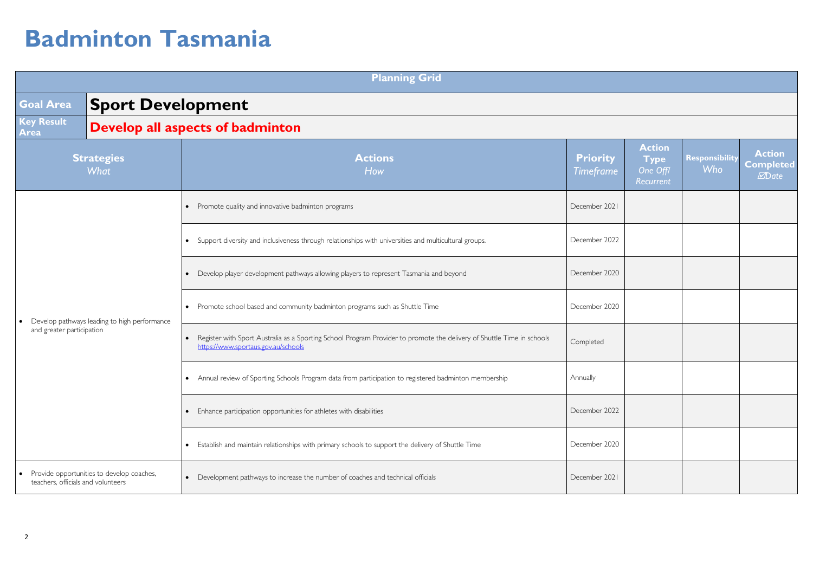|                                                 |                                              | <b>Planning Grid</b>                                                                                                                                                       |                                     |                                                       |                       |                                                           |
|-------------------------------------------------|----------------------------------------------|----------------------------------------------------------------------------------------------------------------------------------------------------------------------------|-------------------------------------|-------------------------------------------------------|-----------------------|-----------------------------------------------------------|
| <b>Goal Area</b>                                | <b>Sport Development</b>                     |                                                                                                                                                                            |                                     |                                                       |                       |                                                           |
| Key Result<br>Area                              |                                              | <b>Develop all aspects of badminton</b>                                                                                                                                    |                                     |                                                       |                       |                                                           |
|                                                 | <b>Strategies</b><br>What                    | <b>Actions</b><br>How                                                                                                                                                      | <b>Priority</b><br><b>Timeframe</b> | <b>Action</b><br><b>Type</b><br>One Off/<br>Recurrent | Responsibility<br>Who | <b>Action</b><br><b>Completed</b><br><b><i>M</i></b> Date |
|                                                 |                                              | Promote quality and innovative badminton programs<br>$\bullet$                                                                                                             | December 2021                       |                                                       |                       |                                                           |
|                                                 |                                              | Support diversity and inclusiveness through relationships with universities and multicultural groups.<br>$\bullet$                                                         | December 2022                       |                                                       |                       |                                                           |
|                                                 |                                              | Develop player development pathways allowing players to represent Tasmania and beyond<br>$\bullet$                                                                         | December 2020                       |                                                       |                       |                                                           |
| $\bullet$                                       | Develop pathways leading to high performance | • Promote school based and community badminton programs such as Shuttle Time                                                                                               | December 2020                       |                                                       |                       |                                                           |
| and greater participation                       |                                              | Register with Sport Australia as a Sporting School Program Provider to promote the delivery of Shuttle Time in schools<br>$\bullet$<br>https://www.sportaus.gov.au/schools | Completed                           |                                                       |                       |                                                           |
|                                                 |                                              | • Annual review of Sporting Schools Program data from participation to registered badminton membership                                                                     | Annually                            |                                                       |                       |                                                           |
|                                                 |                                              | Enhance participation opportunities for athletes with disabilities<br>$\bullet$                                                                                            | December 2022                       |                                                       |                       |                                                           |
|                                                 |                                              | Establish and maintain relationships with primary schools to support the delivery of Shuttle Time<br>$\bullet$                                                             | December 2020                       |                                                       |                       |                                                           |
| $\bullet$<br>teachers, officials and volunteers | Provide opportunities to develop coaches,    | Development pathways to increase the number of coaches and technical officials<br>$\bullet$                                                                                | December 2021                       |                                                       |                       |                                                           |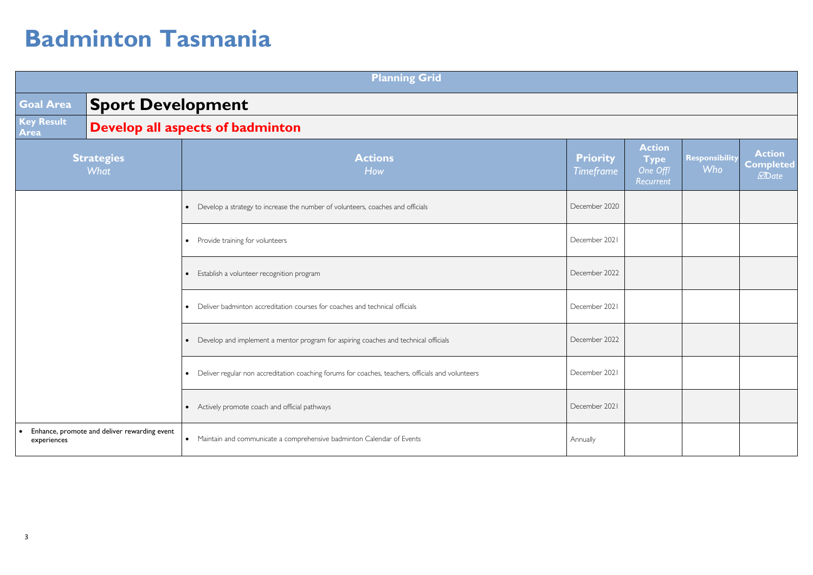|                           |                                              | <b>Planning Grid</b>                                                                                |                                     |                                                       |                              |                                           |
|---------------------------|----------------------------------------------|-----------------------------------------------------------------------------------------------------|-------------------------------------|-------------------------------------------------------|------------------------------|-------------------------------------------|
| <b>Goal Area</b>          | <b>Sport Development</b>                     |                                                                                                     |                                     |                                                       |                              |                                           |
| <b>Key Result</b><br>Area |                                              | <b>Develop all aspects of badminton</b>                                                             |                                     |                                                       |                              |                                           |
|                           | <b>Strategies</b><br>What                    | <b>Actions</b><br>How                                                                               | <b>Priority</b><br><b>Timeframe</b> | <b>Action</b><br><b>Type</b><br>One Off/<br>Recurrent | Responsibility<br><b>Who</b> | <b>Action</b><br><b>Completed</b><br>Date |
|                           |                                              | Develop a strategy to increase the number of volunteers, coaches and officials<br>$\bullet$         | December 2020                       |                                                       |                              |                                           |
|                           |                                              | • Provide training for volunteers                                                                   | December 2021                       |                                                       |                              |                                           |
|                           |                                              | Establish a volunteer recognition program<br>$\bullet$                                              | December 2022                       |                                                       |                              |                                           |
|                           |                                              | Deliver badminton accreditation courses for coaches and technical officials<br>$\bullet$            | December 2021                       |                                                       |                              |                                           |
|                           |                                              | Develop and implement a mentor program for aspiring coaches and technical officials<br>$\bullet$    | December 2022                       |                                                       |                              |                                           |
|                           |                                              | • Deliver regular non accreditation coaching forums for coaches, teachers, officials and volunteers | December 2021                       |                                                       |                              |                                           |
|                           |                                              | • Actively promote coach and official pathways                                                      | December 2021                       |                                                       |                              |                                           |
| experiences               | Enhance, promote and deliver rewarding event | • Maintain and communicate a comprehensive badminton Calendar of Events                             | Annually                            |                                                       |                              |                                           |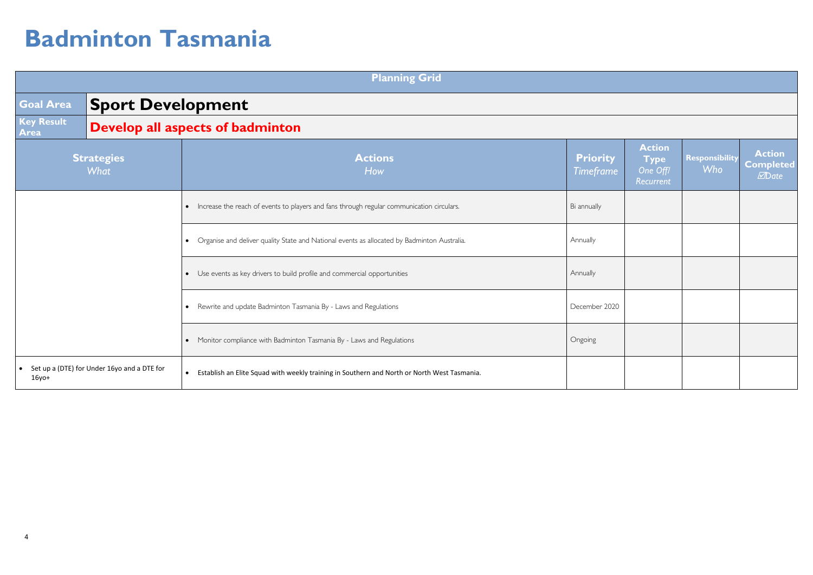|                      |                                             | <b>Planning Grid</b>                                                                                     |                              |                                                       |                                     |                                                           |
|----------------------|---------------------------------------------|----------------------------------------------------------------------------------------------------------|------------------------------|-------------------------------------------------------|-------------------------------------|-----------------------------------------------------------|
| Goal Area            | <b>Sport Development</b>                    |                                                                                                          |                              |                                                       |                                     |                                                           |
| Key Result<br>Area   |                                             | <b>Develop all aspects of badminton</b>                                                                  |                              |                                                       |                                     |                                                           |
|                      | <b>Strategies</b><br><b>What</b>            | <b>Actions</b><br>How                                                                                    | <b>Priority</b><br>Timeframe | <b>Action</b><br><b>Type</b><br>One Off/<br>Recurrent | <b>Responsibility</b><br><b>Who</b> | <b>Action</b><br><b>Completed</b><br><b><i>M</i></b> Date |
|                      |                                             | • Increase the reach of events to players and fans through regular communication circulars.              | Bi annually                  |                                                       |                                     |                                                           |
|                      |                                             | • Organise and deliver quality State and National events as allocated by Badminton Australia.            | Annually                     |                                                       |                                     |                                                           |
|                      |                                             | • Use events as key drivers to build profile and commercial opportunities                                | Annually                     |                                                       |                                     |                                                           |
|                      |                                             | • Rewrite and update Badminton Tasmania By - Laws and Regulations                                        | December 2020                |                                                       |                                     |                                                           |
|                      |                                             | • Monitor compliance with Badminton Tasmania By - Laws and Regulations                                   | Ongoing                      |                                                       |                                     |                                                           |
| $\bullet$<br>$16y0+$ | Set up a (DTE) for Under 16yo and a DTE for | Establish an Elite Squad with weekly training in Southern and North or North West Tasmania.<br>$\bullet$ |                              |                                                       |                                     |                                                           |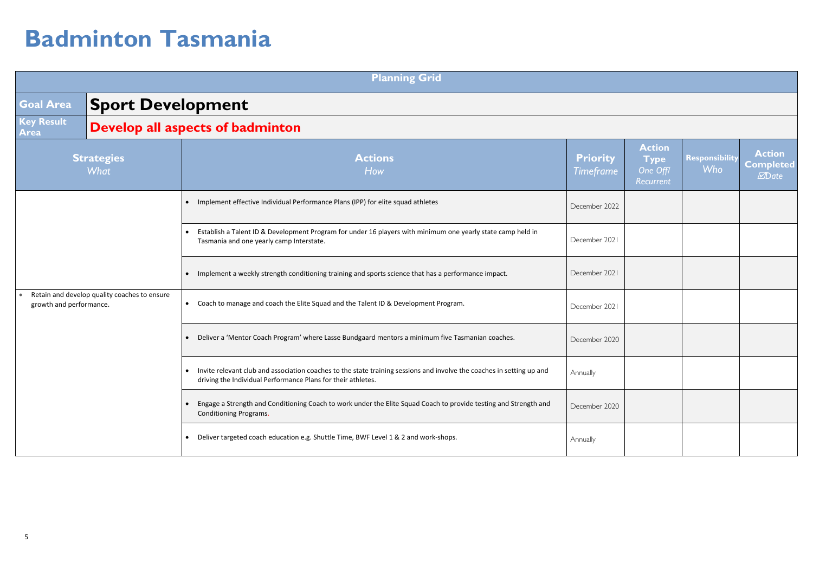|                           |                                              | <b>Planning Grid</b>                                                                                                                                                                    |                                     |                                                       |                       |                                                    |
|---------------------------|----------------------------------------------|-----------------------------------------------------------------------------------------------------------------------------------------------------------------------------------------|-------------------------------------|-------------------------------------------------------|-----------------------|----------------------------------------------------|
| <b>Goal Area</b>          | <b>Sport Development</b>                     |                                                                                                                                                                                         |                                     |                                                       |                       |                                                    |
| <b>Key Result</b><br>Area |                                              | <b>Develop all aspects of badminton</b>                                                                                                                                                 |                                     |                                                       |                       |                                                    |
|                           | <b>Strategies</b><br><b>What</b>             | <b>Actions</b><br>How                                                                                                                                                                   | <b>Priority</b><br><b>Timeframe</b> | <b>Action</b><br><b>Type</b><br>One Off/<br>Recurrent | Responsibility<br>Who | <b>Action</b><br><b>Completed</b><br><b>MD</b> ate |
|                           |                                              | • Implement effective Individual Performance Plans (IPP) for elite squad athletes                                                                                                       | December 2022                       |                                                       |                       |                                                    |
|                           |                                              | Establish a Talent ID & Development Program for under 16 players with minimum one yearly state camp held in<br>Tasmania and one yearly camp Interstate.                                 | December 2021                       |                                                       |                       |                                                    |
|                           |                                              | Implement a weekly strength conditioning training and sports science that has a performance impact.                                                                                     | December 2021                       |                                                       |                       |                                                    |
| growth and performance.   | Retain and develop quality coaches to ensure | Coach to manage and coach the Elite Squad and the Talent ID & Development Program.<br>$\bullet$                                                                                         | December 2021                       |                                                       |                       |                                                    |
|                           |                                              | Deliver a 'Mentor Coach Program' where Lasse Bundgaard mentors a minimum five Tasmanian coaches.                                                                                        | December 2020                       |                                                       |                       |                                                    |
|                           |                                              | • Invite relevant club and association coaches to the state training sessions and involve the coaches in setting up and<br>driving the Individual Performance Plans for their athletes. | Annually                            |                                                       |                       |                                                    |
|                           |                                              | Engage a Strength and Conditioning Coach to work under the Elite Squad Coach to provide testing and Strength and<br>Conditioning Programs.                                              | December 2020                       |                                                       |                       |                                                    |
|                           |                                              | Deliver targeted coach education e.g. Shuttle Time, BWF Level 1 & 2 and work-shops.<br>$\bullet$                                                                                        | Annually                            |                                                       |                       |                                                    |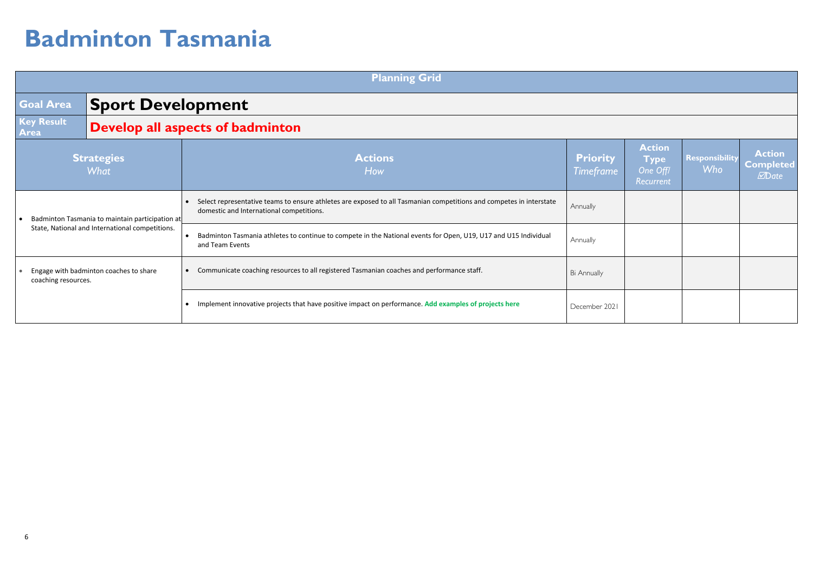|                                                                                                    |                           | <b>Planning Grid</b>                                                                                                                                            |                                     |                                                       |                              |                                                           |
|----------------------------------------------------------------------------------------------------|---------------------------|-----------------------------------------------------------------------------------------------------------------------------------------------------------------|-------------------------------------|-------------------------------------------------------|------------------------------|-----------------------------------------------------------|
| <b>Goal Area</b>                                                                                   | <b>Sport Development</b>  |                                                                                                                                                                 |                                     |                                                       |                              |                                                           |
| Key Result<br>Area                                                                                 |                           | <b>Develop all aspects of badminton</b>                                                                                                                         |                                     |                                                       |                              |                                                           |
|                                                                                                    | <b>Strategies</b><br>What | <b>Actions</b><br>How                                                                                                                                           | <b>Priority</b><br><b>Timeframe</b> | <b>Action</b><br><b>Type</b><br>One Off/<br>Recurrent | Responsibility<br><b>Who</b> | <b>Action</b><br><b>Completed</b><br><b><i>M</i></b> Date |
| Badminton Tasmania to maintain participation at<br>State, National and International competitions. |                           | Select representative teams to ensure athletes are exposed to all Tasmanian competitions and competes in interstate<br>domestic and International competitions. | Annually                            |                                                       |                              |                                                           |
|                                                                                                    |                           | Badminton Tasmania athletes to continue to compete in the National events for Open, U19, U17 and U15 Individual<br>and Team Events                              | Annually                            |                                                       |                              |                                                           |
| Engage with badminton coaches to share<br>coaching resources.                                      |                           | Communicate coaching resources to all registered Tasmanian coaches and performance staff.                                                                       | <b>Bi Annually</b>                  |                                                       |                              |                                                           |
|                                                                                                    |                           | Implement innovative projects that have positive impact on performance. Add examples of projects here                                                           | December 2021                       |                                                       |                              |                                                           |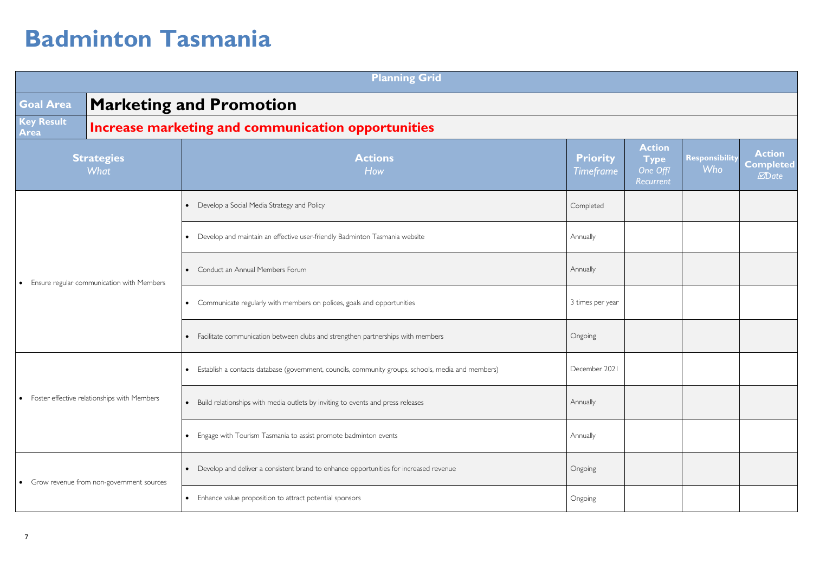|                                                          | <b>Planning Grid</b>                      |                                                                                                                 |                              |                                                       |                                     |                                                           |
|----------------------------------------------------------|-------------------------------------------|-----------------------------------------------------------------------------------------------------------------|------------------------------|-------------------------------------------------------|-------------------------------------|-----------------------------------------------------------|
| <b>Goal Area</b>                                         |                                           | <b>Marketing and Promotion</b>                                                                                  |                              |                                                       |                                     |                                                           |
| <b>Key Result</b><br>Area                                |                                           | Increase marketing and communication opportunities                                                              |                              |                                                       |                                     |                                                           |
|                                                          | <b>Strategies</b><br>What                 | <b>Actions</b><br>How                                                                                           | <b>Priority</b><br>Timeframe | <b>Action</b><br><b>Type</b><br>One Off/<br>Recurrent | <b>Responsibility</b><br><b>Who</b> | <b>Action</b><br><b>Completed</b><br><b><i>M</i></b> Date |
|                                                          |                                           | Develop a Social Media Strategy and Policy<br>$\bullet$                                                         | Completed                    |                                                       |                                     |                                                           |
|                                                          |                                           | Develop and maintain an effective user-friendly Badminton Tasmania website<br>$\bullet$                         | Annually                     |                                                       |                                     |                                                           |
| $\bullet$                                                | Ensure regular communication with Members | Conduct an Annual Members Forum<br>$\bullet$                                                                    | Annually                     |                                                       |                                     |                                                           |
|                                                          |                                           | • Communicate regularly with members on polices, goals and opportunities                                        | 3 times per year             |                                                       |                                     |                                                           |
|                                                          |                                           | • Facilitate communication between clubs and strengthen partnerships with members                               | Ongoing                      |                                                       |                                     |                                                           |
|                                                          |                                           | Establish a contacts database (government, councils, community groups, schools, media and members)<br>$\bullet$ | December 2021                |                                                       |                                     |                                                           |
| Foster effective relationships with Members<br>$\bullet$ |                                           | • Build relationships with media outlets by inviting to events and press releases                               | Annually                     |                                                       |                                     |                                                           |
|                                                          |                                           | • Engage with Tourism Tasmania to assist promote badminton events                                               | Annually                     |                                                       |                                     |                                                           |
|                                                          | Grow revenue from non-government sources  | Develop and deliver a consistent brand to enhance opportunities for increased revenue<br>$\bullet$              | Ongoing                      |                                                       |                                     |                                                           |
|                                                          |                                           | Enhance value proposition to attract potential sponsors<br>$\bullet$                                            | Ongoing                      |                                                       |                                     |                                                           |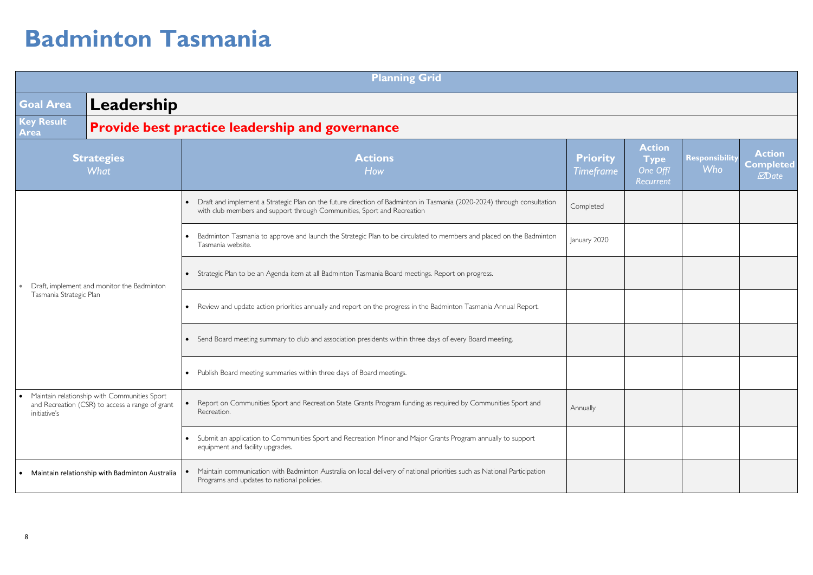|                                                                                                                 |  | <b>Planning Grid</b>                                                                                                                                                                              |                                     |                                                       |                                     |                                                           |
|-----------------------------------------------------------------------------------------------------------------|--|---------------------------------------------------------------------------------------------------------------------------------------------------------------------------------------------------|-------------------------------------|-------------------------------------------------------|-------------------------------------|-----------------------------------------------------------|
| Leadership<br><b>Goal Area</b>                                                                                  |  |                                                                                                                                                                                                   |                                     |                                                       |                                     |                                                           |
| <b>Key Result</b><br>Area                                                                                       |  | Provide best practice leadership and governance                                                                                                                                                   |                                     |                                                       |                                     |                                                           |
| <b>Strategies</b><br>What                                                                                       |  | <b>Actions</b><br>How                                                                                                                                                                             | <b>Priority</b><br><b>Timeframe</b> | <b>Action</b><br><b>Type</b><br>One Off/<br>Recurrent | <b>Responsibility</b><br><b>Who</b> | <b>Action</b><br><b>Completed</b><br><b><i>M</i></b> Date |
|                                                                                                                 |  | Draft and implement a Strategic Plan on the future direction of Badminton in Tasmania (2020-2024) through consultation<br>with club members and support through Communities, Sport and Recreation | Completed                           |                                                       |                                     |                                                           |
|                                                                                                                 |  | Badminton Tasmania to approve and launch the Strategic Plan to be circulated to members and placed on the Badminton<br>$\bullet$<br>Tasmania website.                                             | January 2020                        |                                                       |                                     |                                                           |
| Draft, implement and monitor the Badminton                                                                      |  | Strategic Plan to be an Agenda item at all Badminton Tasmania Board meetings. Report on progress.                                                                                                 |                                     |                                                       |                                     |                                                           |
| Tasmania Strategic Plan                                                                                         |  | • Review and update action priorities annually and report on the progress in the Badminton Tasmania Annual Report.                                                                                |                                     |                                                       |                                     |                                                           |
|                                                                                                                 |  | Send Board meeting summary to club and association presidents within three days of every Board meeting.                                                                                           |                                     |                                                       |                                     |                                                           |
|                                                                                                                 |  | • Publish Board meeting summaries within three days of Board meetings.                                                                                                                            |                                     |                                                       |                                     |                                                           |
| Maintain relationship with Communities Sport<br>and Recreation (CSR) to access a range of grant<br>initiative's |  | Report on Communities Sport and Recreation State Grants Program funding as required by Communities Sport and<br>Recreation.                                                                       | Annually                            |                                                       |                                     |                                                           |
|                                                                                                                 |  | Submit an application to Communities Sport and Recreation Minor and Major Grants Program annually to support<br>equipment and facility upgrades.                                                  |                                     |                                                       |                                     |                                                           |
| Maintain relationship with Badminton Australia                                                                  |  | Maintain communication with Badminton Australia on local delivery of national priorities such as National Participation<br>Programs and updates to national policies.                             |                                     |                                                       |                                     |                                                           |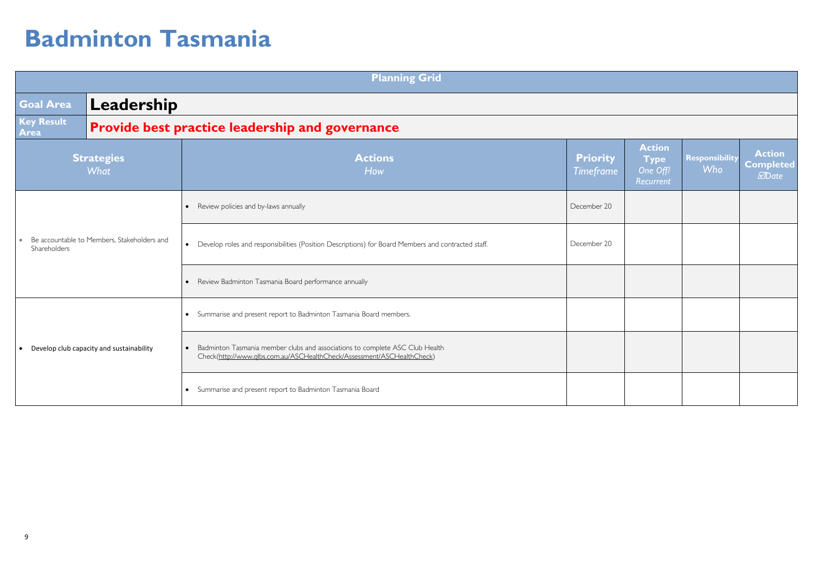|                                                             |                           | <b>Planning Grid</b>                                                                                                                                                |                                     |                                                       |                                     |                                                          |
|-------------------------------------------------------------|---------------------------|---------------------------------------------------------------------------------------------------------------------------------------------------------------------|-------------------------------------|-------------------------------------------------------|-------------------------------------|----------------------------------------------------------|
| Goal Area                                                   | Leadership                |                                                                                                                                                                     |                                     |                                                       |                                     |                                                          |
| Key Result<br>Area                                          |                           | <b>Provide best practice leadership and governance</b>                                                                                                              |                                     |                                                       |                                     |                                                          |
|                                                             | <b>Strategies</b><br>What | <b>Actions</b><br>How                                                                                                                                               | <b>Priority</b><br><b>Timeframe</b> | <b>Action</b><br><b>Type</b><br>One Off/<br>Recurrent | <b>Responsibility</b><br><b>Who</b> | <b>Action</b><br><b>Completed</b><br><b><i>MDate</i></b> |
| Be accountable to Members, Stakeholders and<br>Shareholders |                           | Review policies and by-laws annually<br>$\bullet$                                                                                                                   | December 20                         |                                                       |                                     |                                                          |
|                                                             |                           | Develop roles and responsibilities (Position Descriptions) for Board Members and contracted staff.<br>$\bullet$                                                     | December 20                         |                                                       |                                     |                                                          |
|                                                             |                           | • Review Badminton Tasmania Board performance annually                                                                                                              |                                     |                                                       |                                     |                                                          |
|                                                             |                           | • Summarise and present report to Badminton Tasmania Board members.                                                                                                 |                                     |                                                       |                                     |                                                          |
| Develop club capacity and sustainability                    |                           | Badminton Tasmania member clubs and associations to complete ASC Club Health<br>$\bullet$<br>Check(http://www.glbs.com.au/ASCHealthCheck/Assessment/ASCHealthCheck) |                                     |                                                       |                                     |                                                          |
|                                                             |                           | • Summarise and present report to Badminton Tasmania Board                                                                                                          |                                     |                                                       |                                     |                                                          |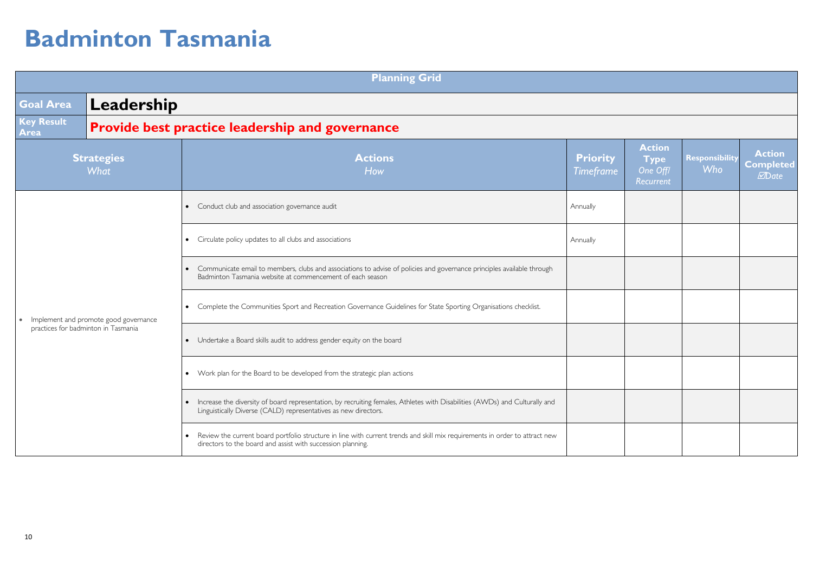|                                     |                                       | <b>Planning Grid</b>                                                                                                                                                                             |                                     |                                                       |                              |                                                           |
|-------------------------------------|---------------------------------------|--------------------------------------------------------------------------------------------------------------------------------------------------------------------------------------------------|-------------------------------------|-------------------------------------------------------|------------------------------|-----------------------------------------------------------|
| <b>Goal Area</b>                    | Leadership                            |                                                                                                                                                                                                  |                                     |                                                       |                              |                                                           |
| <b>Key Result</b><br>Area           |                                       | <b>Provide best practice leadership and governance</b>                                                                                                                                           |                                     |                                                       |                              |                                                           |
|                                     | <b>Strategies</b><br>What             | <b>Actions</b><br>How                                                                                                                                                                            | <b>Priority</b><br><b>Timeframe</b> | <b>Action</b><br><b>Type</b><br>One Off/<br>Recurrent | Responsibility<br><b>Who</b> | <b>Action</b><br><b>Completed</b><br><b><i>M</i></b> Date |
|                                     |                                       | • Conduct club and association governance audit                                                                                                                                                  | Annually                            |                                                       |                              |                                                           |
|                                     |                                       | • Circulate policy updates to all clubs and associations                                                                                                                                         | Annually                            |                                                       |                              |                                                           |
|                                     |                                       | Communicate email to members, clubs and associations to advise of policies and governance principles available through<br>$\bullet$<br>Badminton Tasmania website at commencement of each season |                                     |                                                       |                              |                                                           |
| $\bullet$                           | Implement and promote good governance | • Complete the Communities Sport and Recreation Governance Guidelines for State Sporting Organisations checklist.                                                                                |                                     |                                                       |                              |                                                           |
| practices for badminton in Tasmania |                                       | • Undertake a Board skills audit to address gender equity on the board                                                                                                                           |                                     |                                                       |                              |                                                           |
|                                     |                                       | • Work plan for the Board to be developed from the strategic plan actions                                                                                                                        |                                     |                                                       |                              |                                                           |
|                                     |                                       | • Increase the diversity of board representation, by recruiting females, Athletes with Disabilities (AWDs) and Culturally and<br>Linguistically Diverse (CALD) representatives as new directors. |                                     |                                                       |                              |                                                           |
|                                     |                                       | • Review the current board portfolio structure in line with current trends and skill mix requirements in order to attract new<br>directors to the board and assist with succession planning.     |                                     |                                                       |                              |                                                           |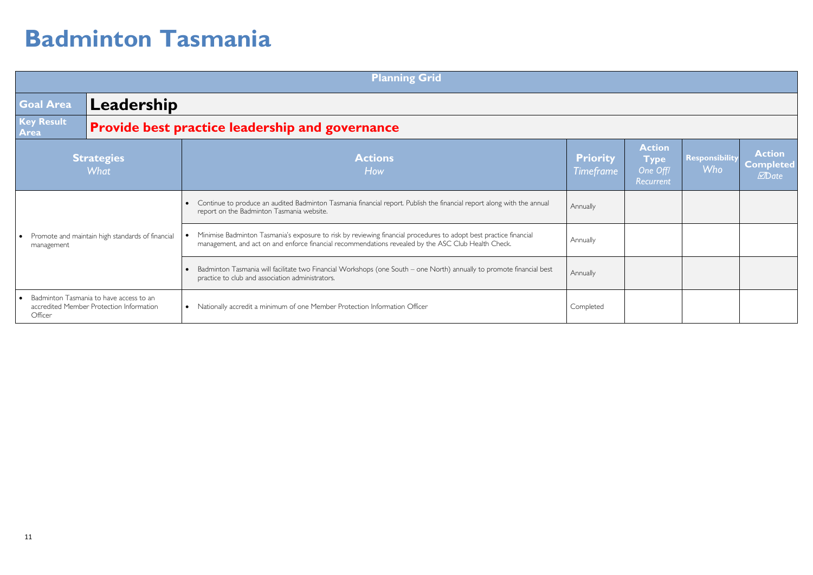|                                                                | <b>Planning Grid</b>                                                                |                                                                                                                                                                                                                          |                                     |                                                       |                                     |                                                   |
|----------------------------------------------------------------|-------------------------------------------------------------------------------------|--------------------------------------------------------------------------------------------------------------------------------------------------------------------------------------------------------------------------|-------------------------------------|-------------------------------------------------------|-------------------------------------|---------------------------------------------------|
| <b>Goal Area</b>                                               | Leadership                                                                          |                                                                                                                                                                                                                          |                                     |                                                       |                                     |                                                   |
| <b>Key Result</b><br>Area                                      |                                                                                     | Provide best practice leadership and governance                                                                                                                                                                          |                                     |                                                       |                                     |                                                   |
|                                                                | <b>Strategies</b><br><b>What</b>                                                    | <b>Actions</b><br>How                                                                                                                                                                                                    | <b>Priority</b><br><b>Timeframe</b> | <b>Action</b><br><b>Type</b><br>One Off/<br>Recurrent | <b>Responsibility</b><br><b>Who</b> | <b>Action</b><br><b>Completed</b><br><b>MDate</b> |
|                                                                |                                                                                     | Continue to produce an audited Badminton Tasmania financial report. Publish the financial report along with the annual<br>report on the Badminton Tasmania website.                                                      | Annually                            |                                                       |                                     |                                                   |
| Promote and maintain high standards of financial<br>management |                                                                                     | Minimise Badminton Tasmania's exposure to risk by reviewing financial procedures to adopt best practice financial<br>management, and act on and enforce financial recommendations revealed by the ASC Club Health Check. | Annually                            |                                                       |                                     |                                                   |
|                                                                |                                                                                     | Badminton Tasmania will facilitate two Financial Workshops (one South – one North) annually to promote financial best<br>practice to club and association administrators.                                                | Annually                            |                                                       |                                     |                                                   |
| Officer                                                        | Badminton Tasmania to have access to an<br>accredited Member Protection Information | • Nationally accredit a minimum of one Member Protection Information Officer                                                                                                                                             | Completed                           |                                                       |                                     |                                                   |